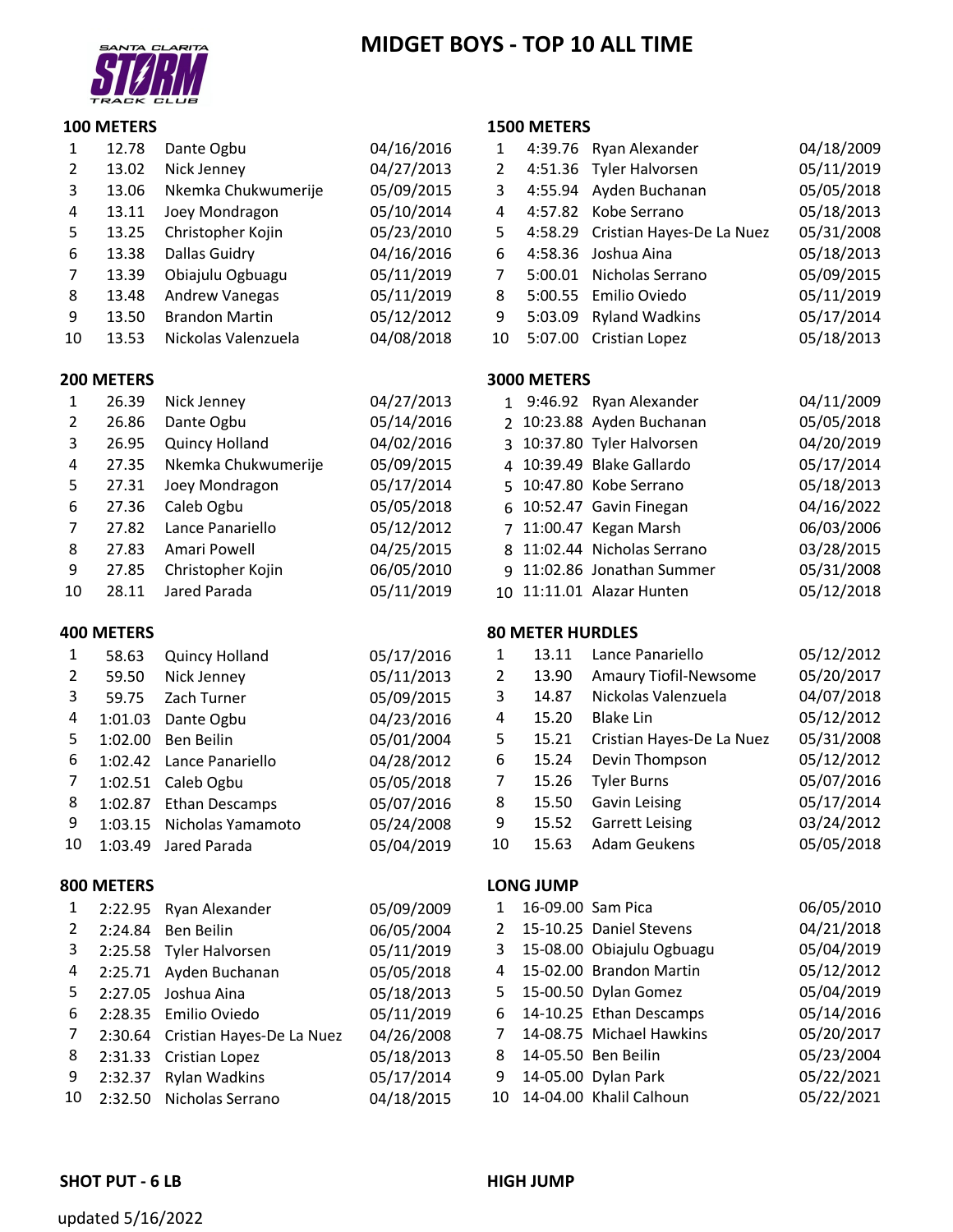# **MIDGET BOYS ‐ TOP 10 ALL TIME**

**1500 METERS**



## **100 METERS**

| 1  | 12.78 | Dante Ogbu            | 04/16/2016 |    |         | 4:39.76 Ryan Alexander            | 04/18/2009 |
|----|-------|-----------------------|------------|----|---------|-----------------------------------|------------|
| 2  | 13.02 | Nick Jenney           | 04/27/2013 | 2  |         | 4:51.36 Tyler Halvorsen           | 05/11/2019 |
| 3  | 13.06 | Nkemka Chukwumerije   | 05/09/2015 | 3  |         | 4:55.94 Ayden Buchanan            | 05/05/2018 |
| 4  | 13.11 | Joey Mondragon        | 05/10/2014 | 4  |         | 4:57.82 Kobe Serrano              | 05/18/2013 |
| 5. | 13.25 | Christopher Kojin     | 05/23/2010 | 5. |         | 4:58.29 Cristian Hayes-De La Nuez | 05/31/2008 |
| 6  | 13.38 | Dallas Guidry         | 04/16/2016 | 6  |         | 4:58.36 Joshua Aina               | 05/18/2013 |
|    | 13.39 | Obiajulu Ogbuagu      | 05/11/2019 |    | 5:00.01 | Nicholas Serrano                  | 05/09/2015 |
| 8  | 13.48 | Andrew Vanegas        | 05/11/2019 | 8  |         | 5:00.55 Emilio Oviedo             | 05/11/2019 |
| 9  | 13.50 | <b>Brandon Martin</b> | 05/12/2012 | 9  | 5:03.09 | <b>Ryland Wadkins</b>             | 05/17/2014 |
| 10 | 13.53 | Nickolas Valenzuela   | 04/08/2018 | 10 |         | 5:07.00 Cristian Lopez            | 05/18/2013 |

## **200 METERS 3000 METERS**

| --------- |       |                     |            |                             |            |
|-----------|-------|---------------------|------------|-----------------------------|------------|
| 1         | 26.39 | Nick Jenney         | 04/27/2013 | 1 9:46.92 Ryan Alexander    | 04/11/2009 |
| 2         | 26.86 | Dante Ogbu          | 05/14/2016 | 2 10:23.88 Ayden Buchanan   | 05/05/2018 |
| 3         | 26.95 | Quincy Holland      | 04/02/2016 | 3 10:37.80 Tyler Halvorsen  | 04/20/2019 |
| 4         | 27.35 | Nkemka Chukwumerije | 05/09/2015 | 4 10:39.49 Blake Gallardo   | 05/17/2014 |
| 5.        | 27.31 | Joey Mondragon      | 05/17/2014 | 5 10:47.80 Kobe Serrano     | 05/18/2013 |
| 6         | 27.36 | Caleb Ogbu          | 05/05/2018 | 6 10:52.47 Gavin Finegan    | 04/16/2022 |
| 7         | 27.82 | Lance Panariello    | 05/12/2012 | 7 11:00.47 Kegan Marsh      | 06/03/2006 |
| 8         | 27.83 | Amari Powell        | 04/25/2015 | 8 11:02.44 Nicholas Serrano | 03/28/2015 |
| 9         | 27.85 | Christopher Kojin   | 06/05/2010 | 9 11:02.86 Jonathan Summer  | 05/31/2008 |
| 10        | 28.11 | Jared Parada        | 05/11/2019 | 10 11:11.01 Alazar Hunten   | 05/12/2018 |

## **400 METERS 80 METER HURDLES**

|    | 58.63   | Quincy Holland        | 05/17/2016 |    | 13.11 | Lance Panariello             | 05/12/2012 |
|----|---------|-----------------------|------------|----|-------|------------------------------|------------|
|    | 59.50   | Nick Jenney           | 05/11/2013 | 2  | 13.90 | <b>Amaury Tiofil-Newsome</b> | 05/20/2017 |
| 3  | 59.75   | Zach Turner           | 05/09/2015 | 3  | 14.87 | Nickolas Valenzuela          | 04/07/2018 |
| 4  | 1:01.03 | Dante Ogbu            | 04/23/2016 | 4  | 15.20 | Blake Lin                    | 05/12/2012 |
| 5. | 1:02.00 | Ben Beilin            | 05/01/2004 | 5  | 15.21 | Cristian Hayes-De La Nuez    | 05/31/2008 |
| 6  | 1:02.42 | Lance Panariello      | 04/28/2012 | 6  | 15.24 | Devin Thompson               | 05/12/2012 |
|    | 1:02.51 | Caleb Ogbu            | 05/05/2018 |    | 15.26 | <b>Tyler Burns</b>           | 05/07/2016 |
| 8  | 1:02.87 | <b>Ethan Descamps</b> | 05/07/2016 | 8  | 15.50 | Gavin Leising                | 05/17/2014 |
| 9  | 1:03.15 | Nicholas Yamamoto     | 05/24/2008 | 9  | 15.52 | <b>Garrett Leising</b>       | 03/24/2012 |
| 10 | 1:03.49 | Jared Parada          | 05/04/2019 | 10 | 15.63 | Adam Geukens                 | 05/05/2018 |

#### **800 METERS LONG JUMP**

| $\mathbf{1}$ | 2:22.95 | Ryan Alexander                    | 05/09/200 |
|--------------|---------|-----------------------------------|-----------|
| 2            | 2:24.84 | Ben Beilin                        | 06/05/200 |
| 3            | 2:25.58 | <b>Tyler Halvorsen</b>            | 05/11/201 |
| 4            | 2:25.71 | Ayden Buchanan                    | 05/05/201 |
| 5            |         | 2:27.05 Joshua Aina               | 05/18/201 |
| 6            |         | 2:28.35 Emilio Oviedo             | 05/11/201 |
| 7            |         | 2:30.64 Cristian Hayes-De La Nuez | 04/26/200 |
| 8            | 2:31.33 | <b>Cristian Lopez</b>             | 05/18/201 |
| 9            | 2:32.37 | <b>Rylan Wadkins</b>              | 05/17/201 |
| 10           |         | 2:32.50 Nicholas Serrano          | 04/18/201 |

|                |         | 1 2:22.95 Ryan Alexander          | 05/09/2009 |   | 16-09.00 Sam Pica           | 06/05/2010 |
|----------------|---------|-----------------------------------|------------|---|-----------------------------|------------|
| 2              |         | 2:24.84 Ben Beilin                | 06/05/2004 | 2 | 15-10.25 Daniel Stevens     | 04/21/2018 |
| 3 <sup>7</sup> |         | 2:25.58 Tyler Halvorsen           | 05/11/2019 |   | 3 15-08.00 Obiajulu Ogbuagu | 05/04/2019 |
|                |         | 4 2:25.71 Ayden Buchanan          | 05/05/2018 |   | 4 15-02.00 Brandon Martin   | 05/12/2012 |
| 5              |         | 2:27.05 Joshua Aina               | 05/18/2013 |   | 5 15-00.50 Dylan Gomez      | 05/04/2019 |
| 6              |         | 2:28.35 Emilio Oviedo             | 05/11/2019 |   | 6 14-10.25 Ethan Descamps   | 05/14/2016 |
| 7              |         | 2:30.64 Cristian Hayes-De La Nuez | 04/26/2008 |   | 14-08.75 Michael Hawkins    | 05/20/2017 |
| 8              |         | 2:31.33 Cristian Lopez            | 05/18/2013 |   | 8 14-05.50 Ben Beilin       | 05/23/2004 |
| 9              | 2:32.37 | Rylan Wadkins                     | 05/17/2014 |   | 9 14-05.00 Dylan Park       | 05/22/2021 |
|                |         | 10 2:32.50 Nicholas Serrano       | 04/18/2015 |   | 10 14-04.00 Khalil Calhoun  | 05/22/2021 |
|                |         |                                   |            |   |                             |            |